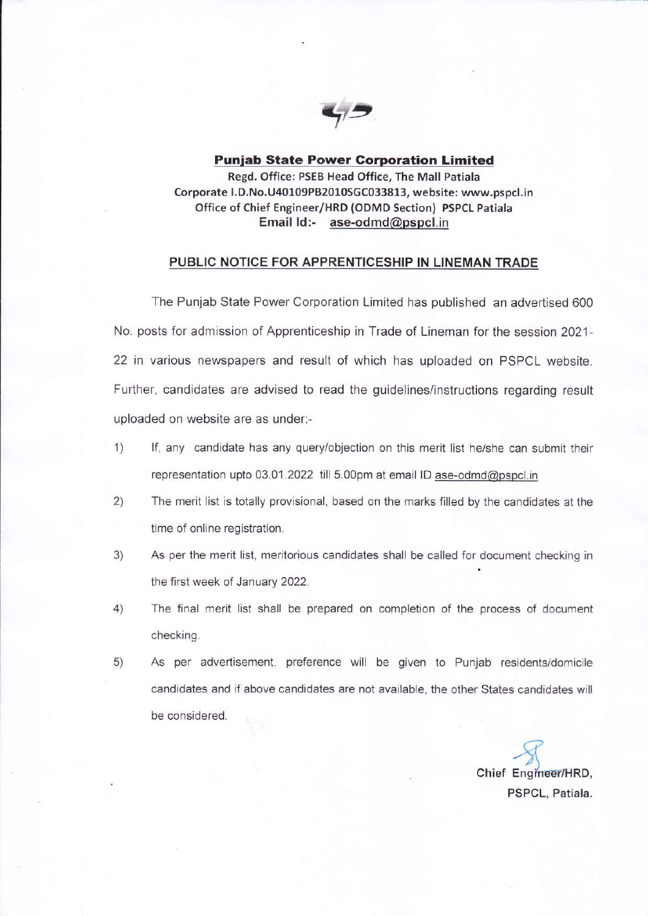

Puniab State Power Gorporation Limited Regd. Office: PSEB Head Office, The Mall Patiala Corporate l. D. No. U40109PB2010SGC033813, website: www.pspcl.in Office of Chief Engineer/HRD (ODMD Section) PSPCL Patiala Email ld:- ase-odmd@pspcl.in

## PUBLIC NOTICE FOR APPRENTICESHIP IN LINEMAN TRADE

The Punjab State Power Corporation Limited has published an advertised 600 No. posts for admission of Apprenticeship in Trade of Lineman for the session 2021-22 in various newspapers and result of which has uploaded on PSPCL website. Further, candidates are advised to read the guidelines/instructions regarding result uploaded on website are as under:-

- 1) lf, any candidate has any query/objection on this merit list he/she can submit their representation upto 03.01.2022 till 5.00pm at email lD ase-odmd@pspcl.in
- 2) The merit list is totally provisional, based on the marks filled by the candidates at the time of online registration.
- 3) As per the merit list, meritorious candidates shall be called for document checking in the first week of January 2022.
- 4) The final merit list shall be prepared on completion of the process of document checking.
- 5) As per adveftisement, preference will be given to Punjab residents/domicile candidates and if above candidates are not available, the other States candidates will be considered.

 $\mathcal{F}$ Chief Engineer/HRD, PSPCL, Patiala.